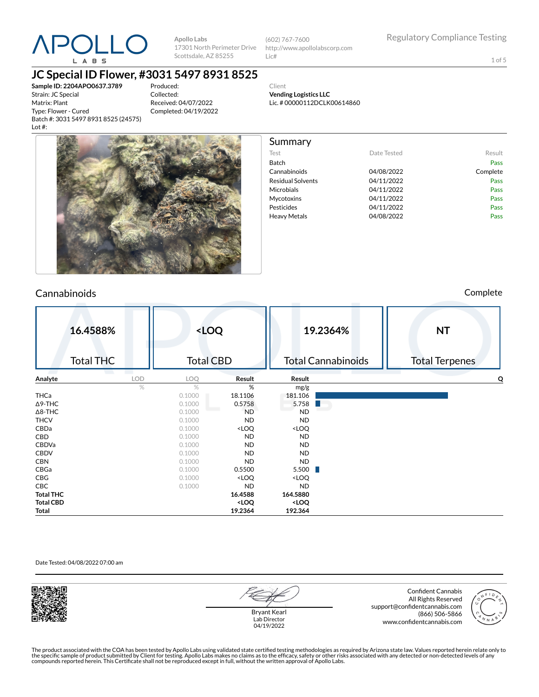

(602) 767-7600 http://www.apollolabscorp.com Lic#

Test **Date Tested** Result Batch Pass Cannabinoids 04/08/2022 Complete Residual Solvents **CA/11/2022** Pass Microbials **04/11/2022** Pass Mycotoxins 04/11/2022 Pass Pesticides **DA/11/2022** Pass Heavy Metals **DA/08/2022** Pass

1 of 5

## **JC Special ID Flower, #3031 5497 8931 8525**

**Sample ID: 2204APO0637.3789** Strain: JC Special Matrix: Plant Type: Flower - Cured Batch #: 3031 5497 8931 8525 (24575) Lot #:

Produced: Collected: Received: 04/07/2022 Completed: 04/19/2022

Client **Vending Logistics LLC** Lic. # 00000112DCLK00614860

Summary



### Cannabinoids Complete

|                  | 16.4588%<br><b>Total THC</b> |            | <loq<br><b>Total CBD</b></loq<br> |                                                                   |                                       | 19.2364%<br><b>Total Cannabinoids</b> | <b>NT</b><br><b>Total Terpenes</b> |
|------------------|------------------------------|------------|-----------------------------------|-------------------------------------------------------------------|---------------------------------------|---------------------------------------|------------------------------------|
| Analyte          |                              | <b>LOD</b> | LOQ                               | Result                                                            | Result                                |                                       | Q                                  |
|                  |                              | $\%$       | $\%$                              | %                                                                 | mg/g                                  |                                       |                                    |
| THCa             |                              |            | 0.1000                            | 18.1106                                                           | 181.106                               |                                       |                                    |
| $\Delta$ 9-THC   |                              |            | 0.1000                            | 0.5758                                                            | 5.758                                 |                                       |                                    |
| $\Delta$ 8-THC   |                              |            | 0.1000                            | <b>ND</b>                                                         | <b>ND</b>                             |                                       |                                    |
| <b>THCV</b>      |                              |            | 0.1000                            | <b>ND</b>                                                         | <b>ND</b>                             |                                       |                                    |
| CBDa             |                              |            | 0.1000                            | <loq< th=""><th><loq< th=""><th></th><th></th></loq<></th></loq<> | <loq< th=""><th></th><th></th></loq<> |                                       |                                    |
| CBD              |                              |            | 0.1000                            | ND.                                                               | <b>ND</b>                             |                                       |                                    |
| CBDVa            |                              |            | 0.1000                            | <b>ND</b>                                                         | <b>ND</b>                             |                                       |                                    |
| <b>CBDV</b>      |                              |            | 0.1000                            | <b>ND</b>                                                         | <b>ND</b>                             |                                       |                                    |
| <b>CBN</b>       |                              |            | 0.1000                            | <b>ND</b>                                                         | <b>ND</b>                             |                                       |                                    |
| CBGa             |                              |            | 0.1000                            | 0.5500                                                            | 5.500                                 |                                       |                                    |
| CBG              |                              |            | 0.1000                            | <loq< th=""><th><loq< th=""><th></th><th></th></loq<></th></loq<> | <loq< th=""><th></th><th></th></loq<> |                                       |                                    |
| CBC              |                              |            | 0.1000                            | <b>ND</b>                                                         | <b>ND</b>                             |                                       |                                    |
| <b>Total THC</b> |                              |            |                                   | 16.4588                                                           | 164.5880                              |                                       |                                    |
| <b>Total CBD</b> |                              |            |                                   | <loq< th=""><th><loq< th=""><th></th><th></th></loq<></th></loq<> | <loq< th=""><th></th><th></th></loq<> |                                       |                                    |
| Total            |                              |            |                                   | 19.2364                                                           | 192.364                               |                                       |                                    |

### Date Tested: 04/08/2022 07:00 am



Bryant Kearl Lab Director 04/19/2022

Confident Cannabis All Rights Reserved support@confidentcannabis.com (866) 506-5866 www.confidentcannabis.com

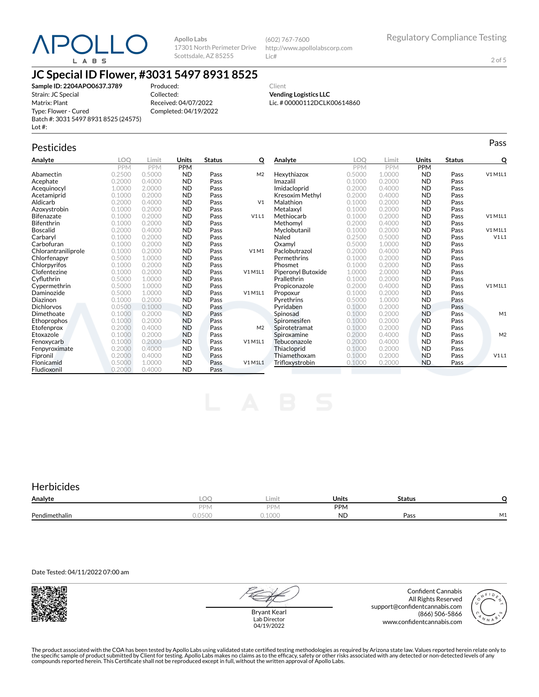

(602) 767-7600 http://www.apollolabscorp.com Lic#

2 of 5

## **JC Special ID Flower, #3031 5497 8931 8525**

**Sample ID: 2204APO0637.3789** Strain: JC Special Matrix: Plant Type: Flower - Cured Batch #: 3031 5497 8931 8525 (24575) Lot #:

Produced: Collected: Received: 04/07/2022 Completed: 04/19/2022

Client **Vending Logistics LLC** Lic. # 00000112DCLK00614860

## Pesticides **Passage of the Contract of Contract Contract of Contract Contract Contract Contract Contract Contract Contract Contract Contract Contract Contract Contract Contract Contract Contract Contract Contract Contract**

| Analyte             | LOO        | Limit      | Units      | <b>Status</b> | о              | Analyte            | LOO        | Limit      | <b>Units</b> | <b>Status</b> | Q              |
|---------------------|------------|------------|------------|---------------|----------------|--------------------|------------|------------|--------------|---------------|----------------|
|                     | <b>PPM</b> | <b>PPM</b> | <b>PPM</b> |               |                |                    | <b>PPM</b> | <b>PPM</b> | <b>PPM</b>   |               |                |
| Abamectin           | 0.2500     | 0.5000     | <b>ND</b>  | Pass          | M <sub>2</sub> | Hexythiazox        | 0.5000     | 1.0000     | <b>ND</b>    | Pass          | V1 M1L1        |
| Acephate            | 0.2000     | 0.4000     | <b>ND</b>  | Pass          |                | Imazalil           | 0.1000     | 0.2000     | <b>ND</b>    | Pass          |                |
| Acequinocyl         | 1.0000     | 2.0000     | <b>ND</b>  | Pass          |                | Imidacloprid       | 0.2000     | 0.4000     | <b>ND</b>    | Pass          |                |
| Acetamiprid         | 0.1000     | 0.2000     | <b>ND</b>  | Pass          |                | Kresoxim Methyl    | 0.2000     | 0.4000     | <b>ND</b>    | Pass          |                |
| Aldicarb            | 0.2000     | 0.4000     | <b>ND</b>  | Pass          | V <sub>1</sub> | Malathion          | 0.1000     | 0.2000     | <b>ND</b>    | Pass          |                |
| Azoxystrobin        | 0.1000     | 0.2000     | <b>ND</b>  | Pass          |                | Metalaxyl          | 0.1000     | 0.2000     | <b>ND</b>    | Pass          |                |
| <b>Bifenazate</b>   | 0.1000     | 0.2000     | <b>ND</b>  | Pass          | V1L1           | Methiocarb         | 0.1000     | 0.2000     | <b>ND</b>    | Pass          | V1 M1L1        |
| <b>Bifenthrin</b>   | 0.1000     | 0.2000     | <b>ND</b>  | Pass          |                | Methomyl           | 0.2000     | 0.4000     | <b>ND</b>    | Pass          |                |
| <b>Boscalid</b>     | 0.2000     | 0.4000     | <b>ND</b>  | Pass          |                | Myclobutanil       | 0.1000     | 0.2000     | <b>ND</b>    | Pass          | V1 M1L1        |
| Carbaryl            | 0.1000     | 0.2000     | <b>ND</b>  | Pass          |                | Naled              | 0.2500     | 0.5000     | <b>ND</b>    | Pass          | V1L1           |
| Carbofuran          | 0.1000     | 0.2000     | <b>ND</b>  | Pass          |                | Oxamyl             | 0.5000     | 1.0000     | <b>ND</b>    | Pass          |                |
| Chlorantraniliprole | 0.1000     | 0.2000     | <b>ND</b>  | Pass          | V1M1           | Paclobutrazol      | 0.2000     | 0.4000     | <b>ND</b>    | Pass          |                |
| Chlorfenapyr        | 0.5000     | 1.0000     | <b>ND</b>  | Pass          |                | Permethrins        | 0.1000     | 0.2000     | <b>ND</b>    | Pass          |                |
| Chlorpyrifos        | 0.1000     | 0.2000     | <b>ND</b>  | Pass          |                | Phosmet            | 0.1000     | 0.2000     | <b>ND</b>    | Pass          |                |
| Clofentezine        | 0.1000     | 0.2000     | <b>ND</b>  | Pass          | V1 M1L1        | Piperonyl Butoxide | 1.0000     | 2.0000     | <b>ND</b>    | Pass          |                |
| Cyfluthrin          | 0.5000     | 1.0000     | <b>ND</b>  | Pass          |                | Prallethrin        | 0.1000     | 0.2000     | <b>ND</b>    | Pass          |                |
| Cypermethrin        | 0.5000     | 1.0000     | <b>ND</b>  | Pass          |                | Propiconazole      | 0.2000     | 0.4000     | <b>ND</b>    | Pass          | V1 M1L1        |
| Daminozide          | 0.5000     | 1.0000     | <b>ND</b>  | Pass          | V1 M1L1        | Propoxur           | 0.1000     | 0.2000     | <b>ND</b>    | Pass          |                |
| Diazinon            | 0.1000     | 0.2000     | <b>ND</b>  | Pass          |                | Pyrethrins         | 0.5000     | 1.0000     | <b>ND</b>    | Pass          |                |
| <b>Dichlorvos</b>   | 0.0500     | 0.1000     | <b>ND</b>  | Pass          |                | Pvridaben          | 0.1000     | 0.2000     | <b>ND</b>    | Pass          |                |
| Dimethoate          | 0.1000     | 0.2000     | <b>ND</b>  | Pass          |                | Spinosad           | 0.1000     | 0.2000     | <b>ND</b>    | Pass          | M1             |
| Ethoprophos         | 0.1000     | 0.2000     | <b>ND</b>  | Pass          |                | Spiromesifen       | 0.1000     | 0.2000     | <b>ND</b>    | Pass          |                |
| Etofenprox          | 0.2000     | 0.4000     | <b>ND</b>  | Pass          | M <sub>2</sub> | Spirotetramat      | 0.1000     | 0.2000     | <b>ND</b>    | Pass          |                |
| Etoxazole           | 0.1000     | 0.2000     | <b>ND</b>  | Pass          |                | Spiroxamine        | 0.2000     | 0.4000     | <b>ND</b>    | Pass          | M <sub>2</sub> |
| Fenoxycarb          | 0.1000     | 0.2000     | <b>ND</b>  | Pass          | V1 M1L1        | Tebuconazole       | 0.2000     | 0.4000     | <b>ND</b>    | Pass          |                |
| Fenpyroximate       | 0.2000     | 0.4000     | <b>ND</b>  | Pass          |                | Thiacloprid        | 0.1000     | 0.2000     | <b>ND</b>    | Pass          |                |
| Fipronil            | 0.2000     | 0.4000     | <b>ND</b>  | Pass          |                | Thiamethoxam       | 0.1000     | 0.2000     | <b>ND</b>    | Pass          | V1L1           |
| Flonicamid          | 0.5000     | 1.0000     | <b>ND</b>  | Pass          | V1 M1L1        | Trifloxystrobin    | 0.1000     | 0.2000     | <b>ND</b>    | Pass          |                |
| Fludioxonil         | 0.2000     | 0.4000     | <b>ND</b>  | Pass          |                |                    |            |            |              |               |                |

## **Herbicides**

| Analyte       | $\sim$<br>ームビトー    | Limit           | Units      | <b>Status</b> |                               |
|---------------|--------------------|-----------------|------------|---------------|-------------------------------|
|               | DDN.               | PPN.            | <b>PPM</b> |               |                               |
| Pendimethalin | $\wedge$<br>0.0500 | 1000<br>u. luuu | <b>ND</b>  | Pass          | $\overline{\phantom{a}}$<br>. |

Date Tested: 04/11/2022 07:00 am



Bryant Kearl Lab Director 04/19/2022

Confident Cannabis All Rights Reserved support@confidentcannabis.com (866) 506-5866 www.confidentcannabis.com

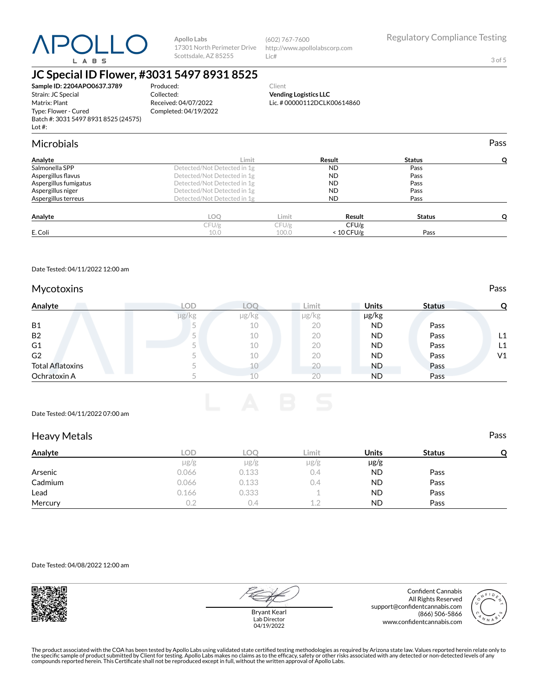

(602) 767-7600 http://www.apollolabscorp.com Lic#

**Vending Logistics LLC** Lic. # 00000112DCLK00614860 3 of 5

### **JC Special ID Flower, #3031 5497 8931 8525** Produced:

Collected:

Received: 04/07/2022 Completed: 04/19/2022

**Sample ID: 2204APO0637.3789** Strain: JC Special Matrix: Plant Type: Flower - Cured Batch #: 3031 5497 8931 8525 (24575) Lot #:

| <b>Microbials</b>     |                             |       |              |               | Pass |
|-----------------------|-----------------------------|-------|--------------|---------------|------|
| Analyte               | Limit                       |       | Result       | <b>Status</b> | Ω    |
| Salmonella SPP        | Detected/Not Detected in 1g |       | <b>ND</b>    | Pass          |      |
| Aspergillus flavus    | Detected/Not Detected in 1g |       | <b>ND</b>    | Pass          |      |
| Aspergillus fumigatus | Detected/Not Detected in 1g |       | <b>ND</b>    | Pass          |      |
| Aspergillus niger     | Detected/Not Detected in 1g |       | <b>ND</b>    | Pass          |      |
| Aspergillus terreus   | Detected/Not Detected in 1g |       | <b>ND</b>    | Pass          |      |
| Analyte               | LOQ                         | Limit | Result       | <b>Status</b> | Ω    |
|                       | CFU/g                       | CFU/g | CFU/g        |               |      |
| E. Coli               | 10.0                        | 100.0 | $< 10$ CFU/g | Pass          |      |

Client

Date Tested: 04/11/2022 12:00 am

### Mycotoxins **Pass**

| Analyte                 | LOD   | LOC   | Limit | <b>Units</b> | <b>Status</b> |    |
|-------------------------|-------|-------|-------|--------------|---------------|----|
|                         | µg/kg | µg/kg | µg/kg | µg/kg        |               |    |
| <b>B1</b>               |       | 10    | 20    | ND           | Pass          |    |
| <b>B2</b>               |       | 10    | 20    | <b>ND</b>    | Pass          | L1 |
| G <sub>1</sub>          |       | 10    | 20    | <b>ND</b>    | Pass          | L1 |
| G <sub>2</sub>          |       | 10    | 20    | <b>ND</b>    | Pass          | V1 |
| <b>Total Aflatoxins</b> |       |       | 20    | <b>ND</b>    | Pass          |    |
| Ochratoxin A            |       |       | 20    | <b>ND</b>    | Pass          |    |

Date Tested: 04/11/2022 07:00 am

### Heavy Metals **Pass**

| Analyte | LOD   | <b>LOC</b> | ∟imit     | Units     | <b>Status</b> |  |
|---------|-------|------------|-----------|-----------|---------------|--|
|         | µg/g  | $\mu$ g/g  | $\mu$ g/g | $\mu$ g/g |               |  |
| Arsenic | 0.066 | 0.133      | 0.4       | <b>ND</b> | Pass          |  |
| Cadmium | 0.066 | 0.133      | 0.4       | <b>ND</b> | Pass          |  |
| Lead    | 0.166 | 0.333      |           | <b>ND</b> | Pass          |  |
| Mercury |       | ( ) 4      | 12        | <b>ND</b> | Pass          |  |

Date Tested: 04/08/2022 12:00 am



Bryant Kearl Lab Director 04/19/2022

Confident Cannabis All Rights Reserved support@confidentcannabis.com (866) 506-5866 www.confidentcannabis.com

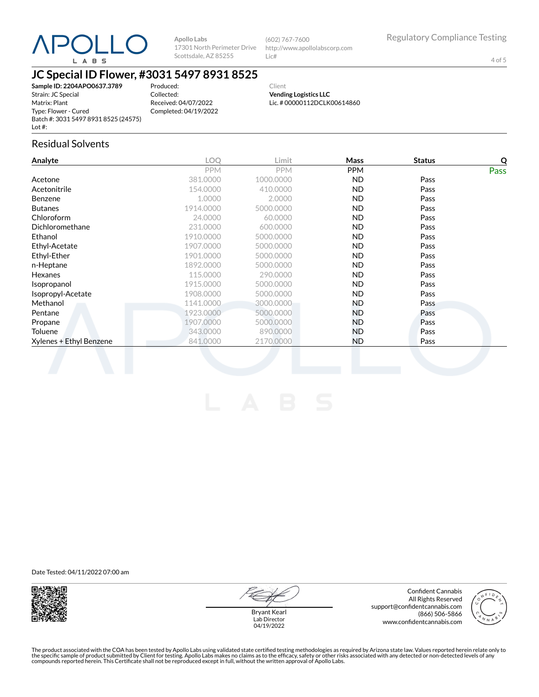

(602) 767-7600 http://www.apollolabscorp.com Lic#

4 of 5

## **JC Special ID Flower, #3031 5497 8931 8525**

**Sample ID: 2204APO0637.3789** Strain: JC Special Matrix: Plant Type: Flower - Cured Batch #: 3031 5497 8931 8525 (24575) Lot #:

Produced: Collected: Received: 04/07/2022 Completed: 04/19/2022

Client **Vending Logistics LLC** Lic. # 00000112DCLK00614860

### Residual Solvents

| Analyte                 | LOQ        | Limit      | Mass       | <b>Status</b> | Q           |
|-------------------------|------------|------------|------------|---------------|-------------|
|                         | <b>PPM</b> | <b>PPM</b> | <b>PPM</b> |               | <b>Pass</b> |
| Acetone                 | 381.0000   | 1000.0000  | ND.        | Pass          |             |
| Acetonitrile            | 154.0000   | 410.0000   | ND.        | Pass          |             |
| <b>Benzene</b>          | 1.0000     | 2.0000     | ND.        | Pass          |             |
| <b>Butanes</b>          | 1914.0000  | 5000.0000  | ND.        | Pass          |             |
| Chloroform              | 24.0000    | 60.0000    | ND.        | Pass          |             |
| Dichloromethane         | 231.0000   | 600.0000   | ND.        | Pass          |             |
| Ethanol                 | 1910.0000  | 5000.0000  | ND.        | Pass          |             |
| Ethyl-Acetate           | 1907.0000  | 5000.0000  | ND.        | Pass          |             |
| Ethyl-Ether             | 1901.0000  | 5000.0000  | ND.        | Pass          |             |
| n-Heptane               | 1892.0000  | 5000.0000  | ND.        | Pass          |             |
| <b>Hexanes</b>          | 115.0000   | 290,0000   | ND.        | Pass          |             |
| Isopropanol             | 1915.0000  | 5000.0000  | ND.        | Pass          |             |
| Isopropyl-Acetate       | 1908.0000  | 5000.0000  | ND.        | Pass          |             |
| Methanol                | 1141.0000  | 3000.0000  | ND.        | Pass          |             |
| Pentane                 | 1923.0000  | 5000.0000  | ND.        | Pass          |             |
| Propane                 | 1907.0000  | 5000.0000  | ND.        | Pass          |             |
| Toluene                 | 343.0000   | 890,0000   | ND.        | Pass          |             |
| Xylenes + Ethyl Benzene | 841.0000   | 2170,0000  | ND.        | Pass          |             |
|                         |            |            |            |               |             |

Date Tested: 04/11/2022 07:00 am



Bryant Kearl Lab Director 04/19/2022

Confident Cannabis All Rights Reserved support@confidentcannabis.com (866) 506-5866 www.confidentcannabis.com